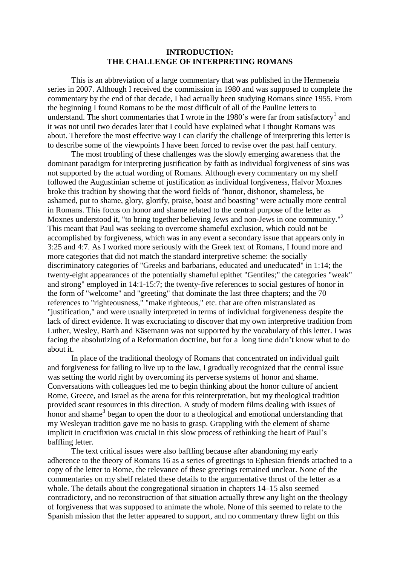## **INTRODUCTION: THE CHALLENGE OF INTERPRETING ROMANS**

This is an abbreviation of a large commentary that was published in the Hermeneia series in 2007. Although I received the commission in 1980 and was supposed to complete the commentary by the end of that decade, I had actually been studying Romans since 1955. From the beginning I found Romans to be the most difficult of all of the Pauline letters to understand. The short commentaries that I wrote in the 1980's were far from satisfactory<sup>1</sup> and it was not until two decades later that I could have explained what I thought Romans was about. Therefore the most effective way I can clarify the challenge of interpreting this letter is to describe some of the viewpoints I have been forced to revise over the past half century.

The most troubling of these challenges was the slowly emerging awareness that the dominant paradigm for interpreting justification by faith as individual forgiveness of sins was not supported by the actual wording of Romans. Although every commentary on my shelf followed the Augustinian scheme of justification as individual forgiveness, Halvor Moxnes broke this tradtion by showing that the word fields of "honor, dishonor, shameless, be ashamed, put to shame, glory, glorify, praise, boast and boasting" were actually more central in Romans. This focus on honor and shame related to the central purpose of the letter as Moxnes understood it, "to bring together believing Jews and non-Jews in one community."<sup>2</sup> This meant that Paul was seeking to overcome shameful exclusion, which could not be accomplished by forgiveness, which was in any event a secondary issue that appears only in 3:25 and 4:7. As I worked more seriously with the Greek text of Romans, I found more and more categories that did not match the standard interpretive scheme: the socially discriminatory categories of "Greeks and barbarians, educated and uneducated" in 1:14; the twenty-eight appearances of the potentially shameful epithet "Gentiles;" the categories "weak" and strong" employed in 14:1-15:7; the twenty-five references to social gestures of honor in the form of "welcome" and "greeting" that dominate the last three chapters; and the 70 references to "righteousness," "make righteous," etc. that are often mistranslated as "justification," and were usually interpreted in terms of individual forgiveneness despite the lack of direct evidence. It was excruciating to discover that my own interpretive tradition from Luther, Wesley, Barth and Käsemann was not supported by the vocabulary of this letter. I was facing the absolutizing of a Reformation doctrine, but for a long time didn't know what to do about it.

In place of the traditional theology of Romans that concentrated on individual guilt and forgiveness for failing to live up to the law, I gradually recognized that the central issue was setting the world right by overcoming its perverse systems of honor and shame. Conversations with colleagues led me to begin thinking about the honor culture of ancient Rome, Greece, and Israel as the arena for this reinterpretation, but my theological tradition provided scant resources in this direction. A study of modern films dealing with issues of honor and shame<sup>3</sup> began to open the door to a theological and emotional understanding that my Wesleyan tradition gave me no basis to grasp. Grappling with the element of shame implicit in crucifixion was crucial in this slow process of rethinking the heart of Paul's baffling letter.

The text critical issues were also baffling because after abandoning my early adherence to the theory of Romans 16 as a series of greetings to Ephesian friends attached to a copy of the letter to Rome, the relevance of these greetings remained unclear. None of the commentaries on my shelf related these details to the argumentative thrust of the letter as a whole. The details about the congregational situation in chapters 14–15 also seemed contradictory, and no reconstruction of that situation actually threw any light on the theology of forgiveness that was supposed to animate the whole. None of this seemed to relate to the Spanish mission that the letter appeared to support, and no commentary threw light on this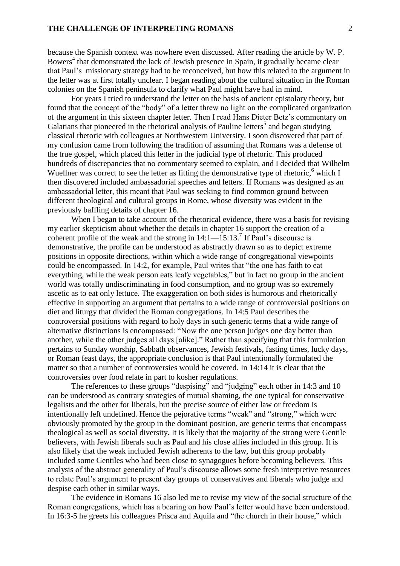## **THE CHALLENGE OF INTERPRETING ROMANS** 2

because the Spanish context was nowhere even discussed. After reading the article by W. P. Bowers<sup>4</sup> that demonstrated the lack of Jewish presence in Spain, it gradually became clear that Paul's missionary strategy had to be reconceived, but how this related to the argument in the letter was at first totally unclear. I began reading about the cultural situation in the Roman colonies on the Spanish peninsula to clarify what Paul might have had in mind.

For years I tried to understand the letter on the basis of ancient epistolary theory, but found that the concept of the "body" of a letter threw no light on the complicated organization of the argument in this sixteen chapter letter. Then I read Hans Dieter Betz's commentary on Galatians that pioneered in the rhetorical analysis of Pauline letters<sup>5</sup> and began studying classical rhetoric with colleagues at Northwestern University. I soon discovered that part of my confusion came from following the tradition of assuming that Romans was a defense of the true gospel, which placed this letter in the judicial type of rhetoric. This produced hundreds of discrepancies that no commentary seemed to explain, and I decided that Wilhelm Wuellner was correct to see the letter as fitting the demonstrative type of rhetoric,<sup>6</sup> which I then discovered included ambassadorial speeches and letters. If Romans was designed as an ambassadorial letter, this meant that Paul was seeking to find common ground between different theological and cultural groups in Rome, whose diversity was evident in the previously baffling details of chapter 16.

When I began to take account of the rhetorical evidence, there was a basis for revising my earlier skepticism about whether the details in chapter 16 support the creation of a coherent profile of the weak and the strong in  $14:1 - 15:13$ .<sup>7</sup> If Paul's discourse is demonstrative, the profile can be understood as abstractly drawn so as to depict extreme positions in opposite directions, within which a wide range of congregational viewpoints could be encompassed. In 14:2, for example, Paul writes that "the one has faith to eat everything, while the weak person eats leafy vegetables," but in fact no group in the ancient world was totally undiscriminating in food consumption, and no group was so extremely ascetic as to eat only lettuce. The exaggeration on both sides is humorous and rhetorically effective in supporting an argument that pertains to a wide range of controversial positions on diet and liturgy that divided the Roman congregations. In 14:5 Paul describes the controversial positions with regard to holy days in such generic terms that a wide range of alternative distinctions is encompassed: "Now the one person judges one day better than another, while the other judges all days [alike]." Rather than specifying that this formulation pertains to Sunday worship, Sabbath observances, Jewish festivals, fasting times, lucky days, or Roman feast days, the appropriate conclusion is that Paul intentionally formulated the matter so that a number of controversies would be covered. In 14:14 it is clear that the controversies over food relate in part to kosher regulations.

The references to these groups "despising" and "judging" each other in 14:3 and 10 can be understood as contrary strategies of mutual shaming, the one typical for conservative legalists and the other for liberals, but the precise source of either law or freedom is intentionally left undefined. Hence the pejorative terms "weak" and "strong," which were obviously promoted by the group in the dominant position, are generic terms that encompass theological as well as social diversity. It is likely that the majority of the strong were Gentile believers, with Jewish liberals such as Paul and his close allies included in this group. It is also likely that the weak included Jewish adherents to the law, but this group probably included some Gentiles who had been close to synagogues before becoming believers. This analysis of the abstract generality of Paul's discourse allows some fresh interpretive resources to relate Paul's argument to present day groups of conservatives and liberals who judge and despise each other in similar ways.

The evidence in Romans 16 also led me to revise my view of the social structure of the Roman congregations, which has a bearing on how Paul's letter would have been understood. In 16:3-5 he greets his colleagues Prisca and Aquila and "the church in their house," which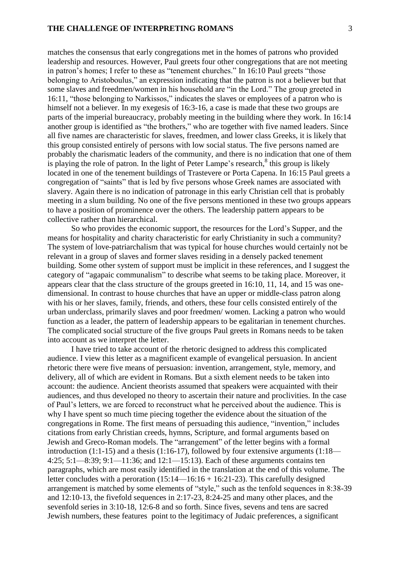matches the consensus that early congregations met in the homes of patrons who provided leadership and resources. However, Paul greets four other congregations that are not meeting in patron's homes; I refer to these as "tenement churches." In 16:10 Paul greets "those belonging to Aristoboulus," an expression indicating that the patron is not a believer but that some slaves and freedmen/women in his household are "in the Lord." The group greeted in 16:11, "those belonging to Narkissos," indicates the slaves or employees of a patron who is himself not a believer. In my exegesis of 16:3-16, a case is made that these two groups are parts of the imperial bureaucracy, probably meeting in the building where they work. In 16:14 another group is identified as "the brothers," who are together with five named leaders. Since all five names are characteristic for slaves, freedmen, and lower class Greeks, it is likely that this group consisted entirely of persons with low social status. The five persons named are probably the charismatic leaders of the community, and there is no indication that one of them is playing the role of patron. In the light of Peter Lampe's research, $^8$  this group is likely located in one of the tenement buildings of Trastevere or Porta Capena. In 16:15 Paul greets a congregation of "saints" that is led by five persons whose Greek names are associated with slavery. Again there is no indication of patronage in this early Christian cell that is probably meeting in a slum building. No one of the five persons mentioned in these two groups appears to have a position of prominence over the others. The leadership pattern appears to be collective rather than hierarchical.

So who provides the economic support, the resources for the Lord's Supper, and the means for hospitality and charity characteristic for early Christianity in such a community? The system of love-patriarchalism that was typical for house churches would certainly not be relevant in a group of slaves and former slaves residing in a densely packed tenement building. Some other system of support must be implicit in these references, and I suggest the category of "agapaic communalism" to describe what seems to be taking place. Moreover, it appears clear that the class structure of the groups greeted in 16:10, 11, 14, and 15 was onedimensional. In contrast to house churches that have an upper or middle-class patron along with his or her slaves, family, friends, and others, these four cells consisted entirely of the urban underclass, primarily slaves and poor freedmen/ women. Lacking a patron who would function as a leader, the pattern of leadership appears to be egalitarian in tenement churches. The complicated social structure of the five groups Paul greets in Romans needs to be taken into account as we interpret the letter.

I have tried to take account of the rhetoric designed to address this complicated audience. I view this letter as a magnificent example of evangelical persuasion. In ancient rhetoric there were five means of persuasion: invention, arrangement, style, memory, and delivery, all of which are evident in Romans. But a sixth element needs to be taken into account: the audience. Ancient theorists assumed that speakers were acquainted with their audiences, and thus developed no theory to ascertain their nature and proclivities. In the case of Paul's letters, we are forced to reconstruct what he perceived about the audience. This is why I have spent so much time piecing together the evidence about the situation of the congregations in Rome. The first means of persuading this audience, "invention," includes citations from early Christian creeds, hymns, Scripture, and formal arguments based on Jewish and Greco-Roman models. The "arrangement" of the letter begins with a formal introduction (1:1-15) and a thesis (1:16-17), followed by four extensive arguments (1:18— 4:25; 5:1—8:39; 9:1—11:36; and 12:1—15:13). Each of these arguments contains ten paragraphs, which are most easily identified in the translation at the end of this volume. The letter concludes with a peroration  $(15:14 - 16:16 + 16:21-23)$ . This carefully designed arrangement is matched by some elements of "style," such as the tenfold sequences in 8:38-39 and 12:10-13, the fivefold sequences in 2:17-23, 8:24-25 and many other places, and the sevenfold series in 3:10-18, 12:6-8 and so forth. Since fives, sevens and tens are sacred Jewish numbers, these features point to the legitimacy of Judaic preferences, a significant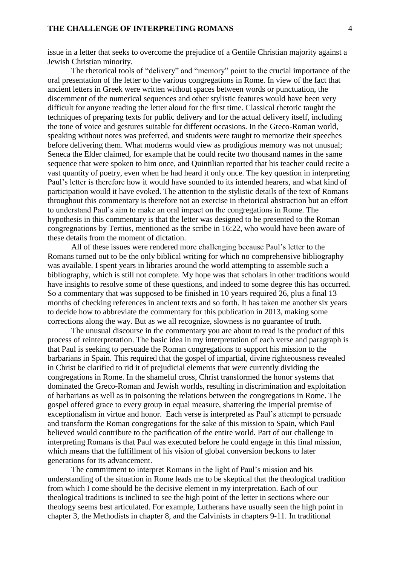## **THE CHALLENGE OF INTERPRETING ROMANS** 4

issue in a letter that seeks to overcome the prejudice of a Gentile Christian majority against a Jewish Christian minority.

The rhetorical tools of "delivery" and "memory" point to the crucial importance of the oral presentation of the letter to the various congregations in Rome. In view of the fact that ancient letters in Greek were written without spaces between words or punctuation, the discernment of the numerical sequences and other stylistic features would have been very difficult for anyone reading the letter aloud for the first time. Classical rhetoric taught the techniques of preparing texts for public delivery and for the actual delivery itself, including the tone of voice and gestures suitable for different occasions. In the Greco-Roman world, speaking without notes was preferred, and students were taught to memorize their speeches before delivering them. What moderns would view as prodigious memory was not unusual; Seneca the Elder claimed, for example that he could recite two thousand names in the same sequence that were spoken to him once, and Quintilian reported that his teacher could recite a vast quantity of poetry, even when he had heard it only once. The key question in interpreting Paul's letter is therefore how it would have sounded to its intended hearers, and what kind of participation would it have evoked. The attention to the stylistic details of the text of Romans throughout this commentary is therefore not an exercise in rhetorical abstraction but an effort to understand Paul's aim to make an oral impact on the congregations in Rome. The hypothesis in this commentary is that the letter was designed to be presented to the Roman congregnations by Tertius, mentioned as the scribe in 16:22, who would have been aware of these details from the moment of dictation.

All of these issues were rendered more challenging because Paul's letter to the Romans turned out to be the only biblical writing for which no comprehensive bibliography was available. I spent years in libraries around the world attempting to assemble such a bibliography, which is still not complete. My hope was that scholars in other traditions would have insights to resolve some of these questions, and indeed to some degree this has occurred. So a commentary that was supposed to be finished in 10 years required 26, plus a final 13 months of checking references in ancient texts and so forth. It has taken me another six years to decide how to abbreviate the commentary for this publication in 2013, making some corrections along the way. But as we all recognize, slowness is no guarantee of truth.

The unusual discourse in the commentary you are about to read is the product of this process of reinterpretation. The basic idea in my interpretation of each verse and paragraph is that Paul is seeking to persuade the Roman congregations to support his mission to the barbarians in Spain. This required that the gospel of impartial, divine righteousness revealed in Christ be clarified to rid it of prejudicial elements that were currently dividing the congregations in Rome. In the shameful cross, Christ transformed the honor systems that dominated the Greco-Roman and Jewish worlds, resulting in discrimination and exploitation of barbarians as well as in poisoning the relations between the congregations in Rome. The gospel offered grace to every group in equal measure, shattering the imperial premise of exceptionalism in virtue and honor. Each verse is interpreted as Paul's attempt to persuade and transform the Roman congregations for the sake of this mission to Spain, which Paul believed would contribute to the pacification of the entire world. Part of our challenge in interpreting Romans is that Paul was executed before he could engage in this final mission, which means that the fulfillment of his vision of global conversion beckons to later generations for its advancement.

The commitment to interpret Romans in the light of Paul's mission and his understanding of the situation in Rome leads me to be skeptical that the theological tradition from which I come should be the decisive element in my interpretation. Each of our theological traditions is inclined to see the high point of the letter in sections where our theology seems best articulated. For example, Lutherans have usually seen the high point in chapter 3, the Methodists in chapter 8, and the Calvinists in chapters 9-11. In traditional